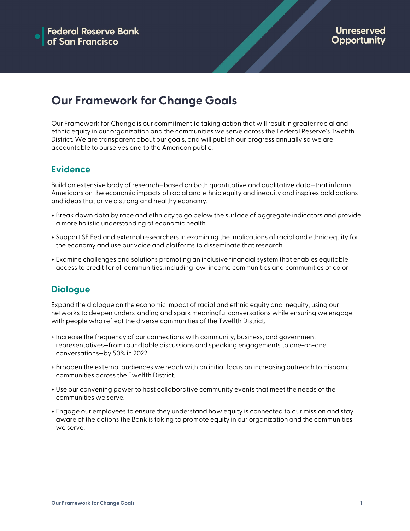## **Our Framework for Change Goals**

Our Framework for Change is our commitment to taking action that will result in greater racial and ethnic equity in our organization and the communities we serve across the Federal Reserve's Twelfth District. We are transparent about our goals, and will publish our progress annually so we are accountable to ourselves and to the American public.

## **Evidence**

Build an extensive body of research-based on both quantitative and qualitative data-that informs Americans on the economic impacts of racial and ethnic equity and inequity and inspires bold actions and ideas that drive a strong and healthy economy.

- + Break down data by race and ethnicity to go below the surface of aggregate indicators and provide a more holistic understanding of economic health.
- + Support SF Fed and external researchers in examining the implications of racial and ethnic equity for the economy and use our voice and platforms to disseminate that research.
- + Examine challenges and solutions promoting an inclusive financial system that enables equitable access to credit for all communities, including low-income communities and communities of color.

## **Dialogue**

Expand the dialogue on the economic impact of racial and ethnic equity and inequity, using our networks to deepen understanding and spark meaningful conversations while ensuring we engage with people who reflect the diverse communities of the Twelfth District.

- + Increase the frequency of our connections with community, business, and government representatives—from roundtable discussions and speaking engagements to one-on-one conversations—by 50% in 2022.
- + Broaden the external audiences we reach with an initial focus on increasing outreach to Hispanic communities across the Twelfth District.
- + Use our convening power to host collaborative community events that meet the needs of the communities we serve.
- + Engage our employees to ensure they understand how equity is connected to our mission and stay aware of the actions the Bank is taking to promote equity in our organization and the communities we serve.